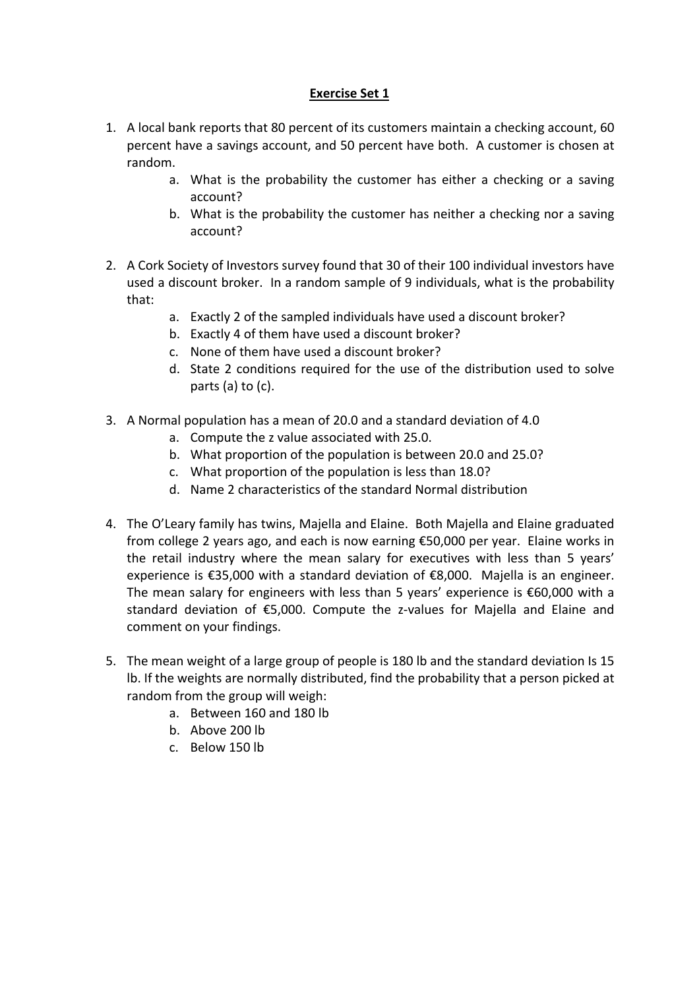## **Exercise Set 1**

- 1. A local bank reports that 80 percent of its customers maintain a checking account, 60 percent have a savings account, and 50 percent have both. A customer is chosen at random.
	- a. What is the probability the customer has either a checking or a saving account?
	- b. What is the probability the customer has neither a checking nor a saving account?
- 2. A Cork Society of Investors survey found that 30 of their 100 individual investors have used a discount broker. In a random sample of 9 individuals, what is the probability that:
	- a. Exactly 2 of the sampled individuals have used a discount broker?
	- b. Exactly 4 of them have used a discount broker?
	- c. None of them have used a discount broker?
	- d. State 2 conditions required for the use of the distribution used to solve parts (a) to (c).
- 3. A Normal population has a mean of 20.0 and a standard deviation of 4.0
	- a. Compute the z value associated with 25.0.
	- b. What proportion of the population is between 20.0 and 25.0?
	- c. What proportion of the population is less than 18.0?
	- d. Name 2 characteristics of the standard Normal distribution
- 4. The O'Leary family has twins, Majella and Elaine. Both Majella and Elaine graduated from college 2 years ago, and each is now earning €50,000 per year. Elaine works in the retail industry where the mean salary for executives with less than 5 years' experience is  $\epsilon$ 35,000 with a standard deviation of  $\epsilon$ 8,000. Majella is an engineer. The mean salary for engineers with less than 5 years' experience is  $\epsilon$ 60,000 with a standard deviation of €5,000. Compute the z-values for Majella and Elaine and comment on your findings.
- 5. The mean weight of a large group of people is 180 lb and the standard deviation Is 15 lb. If the weights are normally distributed, find the probability that a person picked at random from the group will weigh:
	- a. Between 160 and 180 lb
	- b. Above 200 lb
	- c. Below 150 lb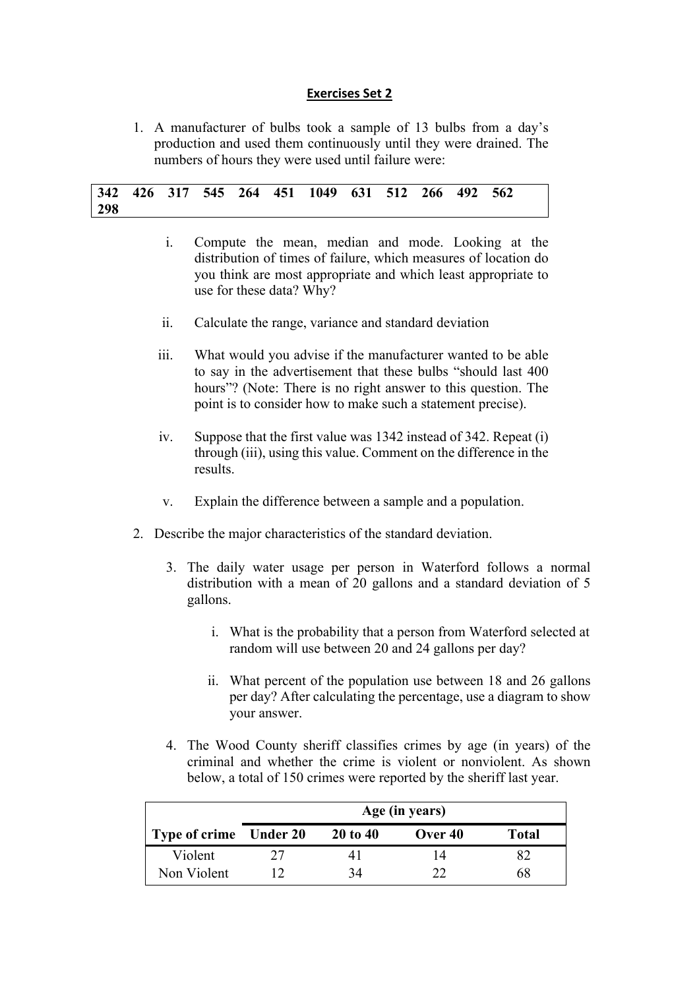#### **Exercises Set 2**

1. A manufacturer of bulbs took a sample of 13 bulbs from a day's production and used them continuously until they were drained. The numbers of hours they were used until failure were:

|     |  |  | 342 426 317 545 264 451 1049 631 512 266 492 562 |  |  |  |
|-----|--|--|--------------------------------------------------|--|--|--|
| 298 |  |  |                                                  |  |  |  |

- i. Compute the mean, median and mode. Looking at the distribution of times of failure, which measures of location do you think are most appropriate and which least appropriate to use for these data? Why?
- ii. Calculate the range, variance and standard deviation
- iii. What would you advise if the manufacturer wanted to be able to say in the advertisement that these bulbs "should last 400 hours"? (Note: There is no right answer to this question. The point is to consider how to make such a statement precise).
- iv. Suppose that the first value was 1342 instead of 342. Repeat (i) through (iii), using this value. Comment on the difference in the results.
- v. Explain the difference between a sample and a population.
- 2. Describe the major characteristics of the standard deviation.
	- 3. The daily water usage per person in Waterford follows a normal distribution with a mean of 20 gallons and a standard deviation of 5 gallons.
		- i. What is the probability that a person from Waterford selected at random will use between 20 and 24 gallons per day?
		- ii. What percent of the population use between 18 and 26 gallons per day? After calculating the percentage, use a diagram to show your answer.
	- 4. The Wood County sheriff classifies crimes by age (in years) of the criminal and whether the crime is violent or nonviolent. As shown below, a total of 150 crimes were reported by the sheriff last year.

|                        | Age (in years) |              |           |              |  |  |
|------------------------|----------------|--------------|-----------|--------------|--|--|
| Type of crime Under 20 |                | $20$ to $40$ | Over $40$ | <b>Total</b> |  |  |
| Violent                |                |              | 14        |              |  |  |
| Non Violent            |                | 34           |           | ላ አ          |  |  |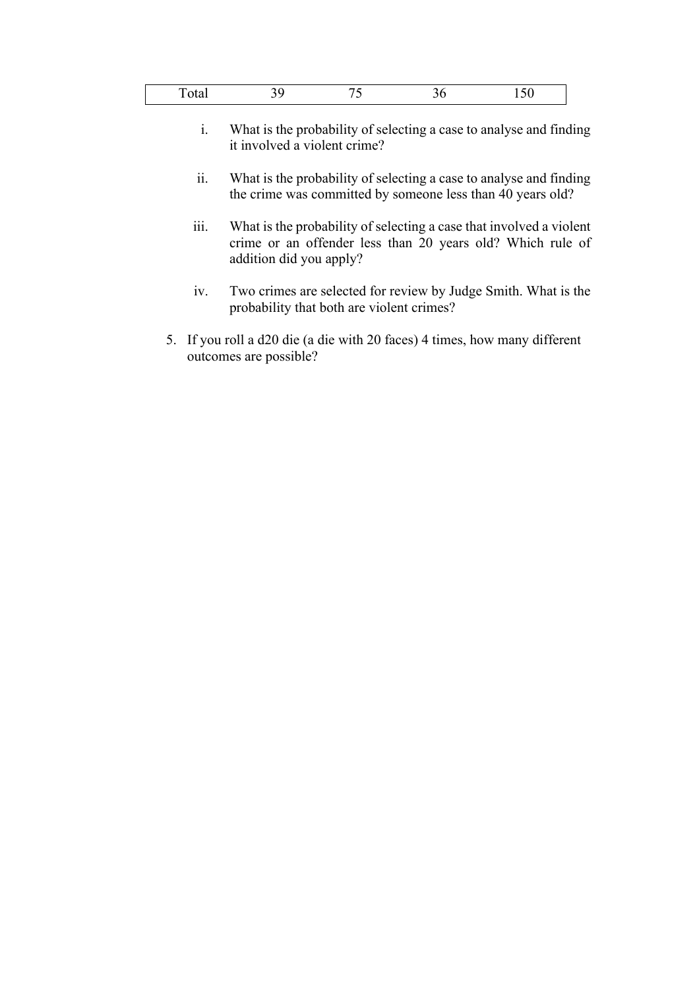- i. What is the probability of selecting a case to analyse and finding it involved a violent crime?
- ii. What is the probability of selecting a case to analyse and finding the crime was committed by someone less than 40 years old?
- iii. What is the probability of selecting a case that involved a violent crime or an offender less than 20 years old? Which rule of addition did you apply?
- iv. Two crimes are selected for review by Judge Smith. What is the probability that both are violent crimes?
- 5. If you roll a d20 die (a die with 20 faces) 4 times, how many different outcomes are possible?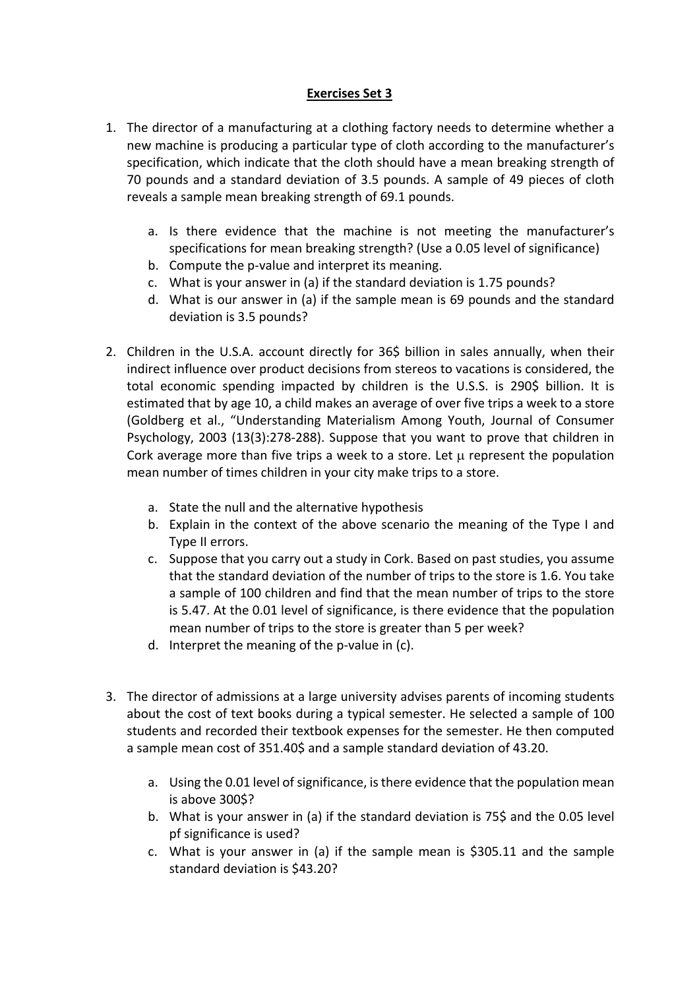# **Exercises Set 3**

- 1. The director of a manufacturing at a clothing factory needs to determine whether a new machine is producing a particular type of cloth according to the manufacturer's specification, which indicate that the cloth should have a mean breaking strength of 70 pounds and a standard deviation of 3.5 pounds. A sample of 49 pieces of cloth reveals a sample mean breaking strength of 69.1 pounds.
	- a. Is there evidence that the machine is not meeting the manufacturer's specifications for mean breaking strength? (Use a 0.05 level of significance)
	- b. Compute the p-value and interpret its meaning.
	- c. What is your answer in (a) if the standard deviation is 1.75 pounds?
	- d. What is our answer in (a) if the sample mean is 69 pounds and the standard deviation is 3.5 pounds?
- 2. Children in the U.S.A. account directly for 36\$ billion in sales annually, when their indirect influence over product decisions from stereos to vacations is considered, the total economic spending impacted by children is the U.S.S. is 290\$ billion. It is estimated that by age 10, a child makes an average of over five trips a week to a store (Goldberg et al., "Understanding Materialism Among Youth, Journal of Consumer Psychology, 2003 (13(3):278-288). Suppose that you want to prove that children in Cork average more than five trips a week to a store. Let  $\mu$  represent the population mean number of times children in your city make trips to a store.
	- a. State the null and the alternative hypothesis
	- b. Explain in the context of the above scenario the meaning of the Type I and Type II errors.
	- c. Suppose that you carry out a study in Cork. Based on past studies, you assume that the standard deviation of the number of trips to the store is 1.6. You take a sample of 100 children and find that the mean number of trips to the store is 5.47. At the 0.01 level of significance, is there evidence that the population mean number of trips to the store is greater than 5 per week?
	- d. Interpret the meaning of the p-value in (c).
- 3. The director of admissions at a large university advises parents of incoming students about the cost of text books during a typical semester. He selected a sample of 100 students and recorded their textbook expenses for the semester. He then computed a sample mean cost of 351.40\$ and a sample standard deviation of 43.20.
	- a. Using the 0.01 level of significance, is there evidence that the population mean is above 300\$?
	- b. What is your answer in (a) if the standard deviation is 75\$ and the 0.05 level pf significance is used?
	- c. What is your answer in (a) if the sample mean is \$305.11 and the sample standard deviation is \$43.20?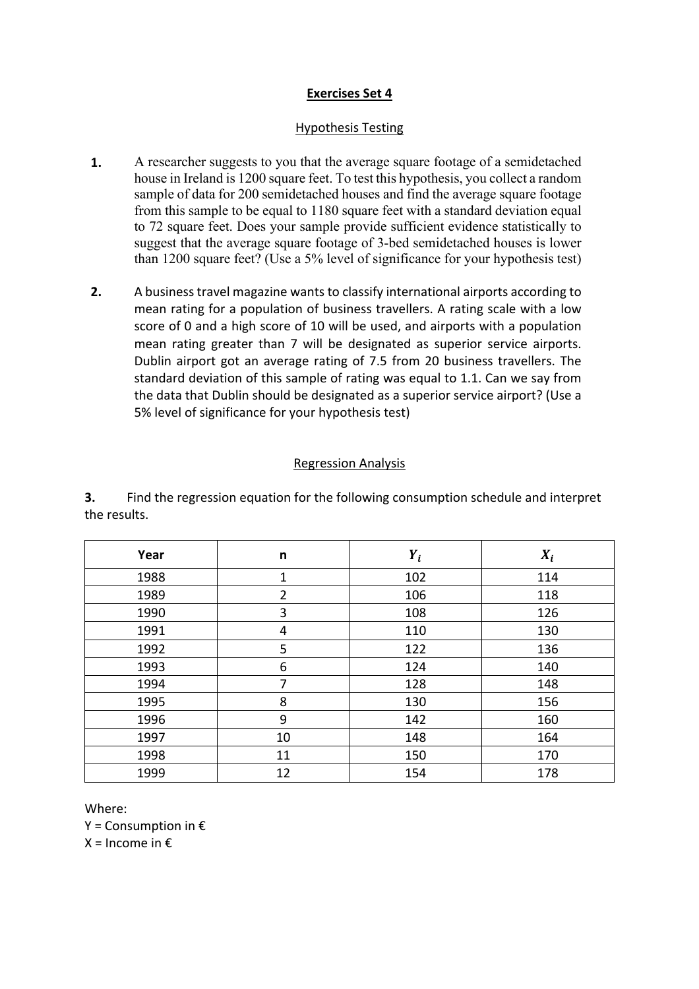## **Exercises Set 4**

#### Hypothesis Testing

- **1.** A researcher suggests to you that the average square footage of a semidetached house in Ireland is 1200 square feet. To test this hypothesis, you collect a random sample of data for 200 semidetached houses and find the average square footage from this sample to be equal to 1180 square feet with a standard deviation equal to 72 square feet. Does your sample provide sufficient evidence statistically to suggest that the average square footage of 3-bed semidetached houses is lower than 1200 square feet? (Use a 5% level of significance for your hypothesis test)
- **2.** A business travel magazine wants to classify international airports according to mean rating for a population of business travellers. A rating scale with a low score of 0 and a high score of 10 will be used, and airports with a population mean rating greater than 7 will be designated as superior service airports. Dublin airport got an average rating of 7.5 from 20 business travellers. The standard deviation of this sample of rating was equal to 1.1. Can we say from the data that Dublin should be designated as a superior service airport? (Use a 5% level of significance for your hypothesis test)

#### Regression Analysis

**3.** Find the regression equation for the following consumption schedule and interpret the results.

| Year | n              | $Y_i$ | $X_i$ |
|------|----------------|-------|-------|
| 1988 | 1              | 102   | 114   |
| 1989 | $\overline{2}$ | 106   | 118   |
| 1990 | 3              | 108   | 126   |
| 1991 | 4              | 110   | 130   |
| 1992 | 5              | 122   | 136   |
| 1993 | 6              | 124   | 140   |
| 1994 | 7              | 128   | 148   |
| 1995 | 8              | 130   | 156   |
| 1996 | 9              | 142   | 160   |
| 1997 | 10             | 148   | 164   |
| 1998 | 11             | 150   | 170   |
| 1999 | 12             | 154   | 178   |

Where:

 $Y =$  Consumption in  $E$ 

 $X =$  Income in  $E$